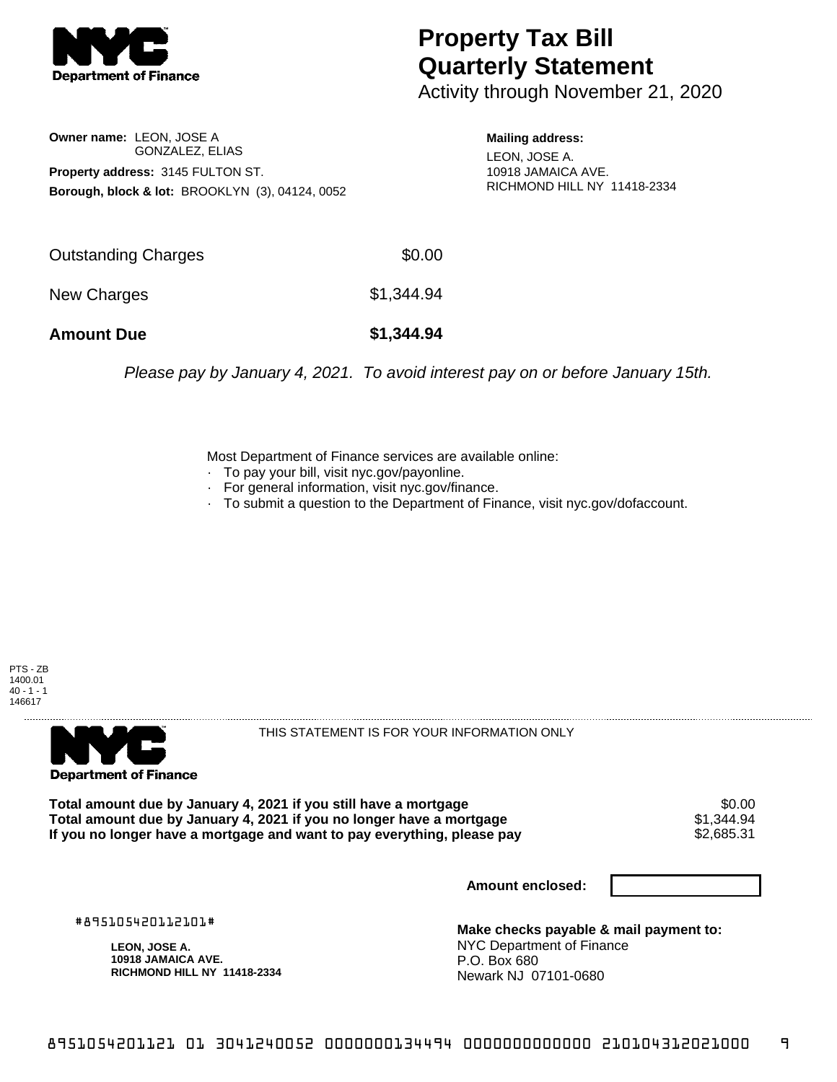

## **Property Tax Bill Quarterly Statement**

Activity through November 21, 2020

**Owner name:** LEON, JOSE A GONZALEZ, ELIAS **Property address:** 3145 FULTON ST. **Borough, block & lot:** BROOKLYN (3), 04124, 0052

**Mailing address:** LEON, JOSE A. 10918 JAMAICA AVE. RICHMOND HILL NY 11418-2334

| <b>Amount Due</b>          | \$1,344.94 |
|----------------------------|------------|
| New Charges                | \$1,344.94 |
| <b>Outstanding Charges</b> | \$0.00     |

Please pay by January 4, 2021. To avoid interest pay on or before January 15th.

Most Department of Finance services are available online:

- · To pay your bill, visit nyc.gov/payonline.
- For general information, visit nyc.gov/finance.
- · To submit a question to the Department of Finance, visit nyc.gov/dofaccount.





THIS STATEMENT IS FOR YOUR INFORMATION ONLY

Total amount due by January 4, 2021 if you still have a mortgage **\$0.00** \$0.00<br>Total amount due by January 4, 2021 if you no longer have a mortgage **\$1.344.94 Total amount due by January 4, 2021 if you no longer have a mortgage**  $$1,344.94$ **<br>If you no longer have a mortgage and want to pay everything, please pay**  $$2,685.31$ If you no longer have a mortgage and want to pay everything, please pay

**Amount enclosed:**

#895105420112101#

**LEON, JOSE A. 10918 JAMAICA AVE. RICHMOND HILL NY 11418-2334**

**Make checks payable & mail payment to:** NYC Department of Finance P.O. Box 680 Newark NJ 07101-0680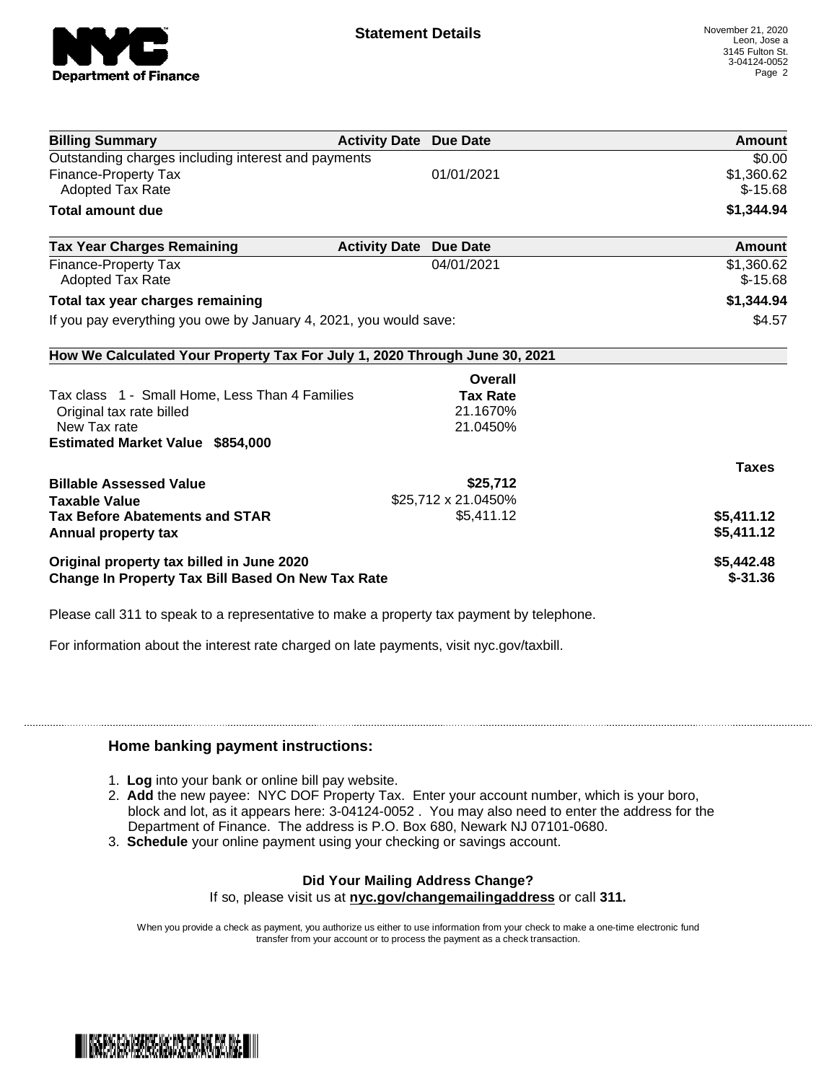

| <b>Billing Summary</b>                                                     | <b>Activity Date Due Date</b> |                     | <b>Amount</b> |
|----------------------------------------------------------------------------|-------------------------------|---------------------|---------------|
| Outstanding charges including interest and payments                        |                               |                     | \$0.00        |
| <b>Finance-Property Tax</b>                                                |                               | 01/01/2021          | \$1,360.62    |
| Adopted Tax Rate                                                           |                               |                     | $$-15.68$     |
| <b>Total amount due</b>                                                    |                               |                     | \$1,344.94    |
| <b>Tax Year Charges Remaining</b>                                          | <b>Activity Date</b>          | <b>Due Date</b>     | Amount        |
| Finance-Property Tax                                                       |                               | 04/01/2021          | \$1,360.62    |
| Adopted Tax Rate                                                           |                               |                     | $$-15.68$     |
| Total tax year charges remaining                                           |                               |                     | \$1,344.94    |
| If you pay everything you owe by January 4, 2021, you would save:          |                               |                     | \$4.57        |
| How We Calculated Your Property Tax For July 1, 2020 Through June 30, 2021 |                               |                     |               |
|                                                                            |                               | Overall             |               |
| Tax class 1 - Small Home, Less Than 4 Families                             |                               | <b>Tax Rate</b>     |               |
| Original tax rate billed                                                   |                               | 21.1670%            |               |
| New Tax rate                                                               |                               | 21.0450%            |               |
| <b>Estimated Market Value \$854,000</b>                                    |                               |                     |               |
|                                                                            |                               |                     | <b>Taxes</b>  |
| <b>Billable Assessed Value</b>                                             |                               | \$25,712            |               |
| <b>Taxable Value</b>                                                       |                               | \$25,712 x 21.0450% |               |
| <b>Tax Before Abatements and STAR</b>                                      |                               | \$5,411.12          | \$5,411.12    |
| Annual property tax                                                        |                               |                     | \$5,411.12    |
| Original property tax billed in June 2020                                  |                               |                     | \$5,442.48    |
| <b>Change In Property Tax Bill Based On New Tax Rate</b>                   |                               |                     | $$ -31.36$    |

Please call 311 to speak to a representative to make a property tax payment by telephone.

For information about the interest rate charged on late payments, visit nyc.gov/taxbill.

## **Home banking payment instructions:**

- 1. **Log** into your bank or online bill pay website.
- 2. **Add** the new payee: NYC DOF Property Tax. Enter your account number, which is your boro, block and lot, as it appears here: 3-04124-0052 . You may also need to enter the address for the Department of Finance. The address is P.O. Box 680, Newark NJ 07101-0680.
- 3. **Schedule** your online payment using your checking or savings account.

## **Did Your Mailing Address Change?** If so, please visit us at **nyc.gov/changemailingaddress** or call **311.**

When you provide a check as payment, you authorize us either to use information from your check to make a one-time electronic fund transfer from your account or to process the payment as a check transaction.